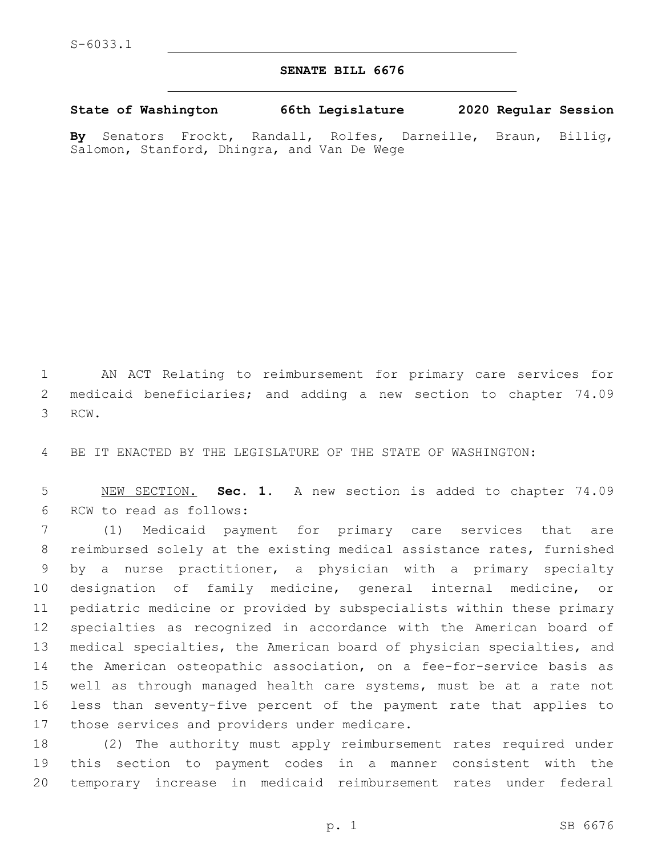## **SENATE BILL 6676**

**State of Washington 66th Legislature 2020 Regular Session**

**By** Senators Frockt, Randall, Rolfes, Darneille, Braun, Billig, Salomon, Stanford, Dhingra, and Van De Wege

 AN ACT Relating to reimbursement for primary care services for medicaid beneficiaries; and adding a new section to chapter 74.09 3 RCW.

BE IT ENACTED BY THE LEGISLATURE OF THE STATE OF WASHINGTON:

 NEW SECTION. **Sec. 1.** A new section is added to chapter 74.09 6 RCW to read as follows:

 (1) Medicaid payment for primary care services that are reimbursed solely at the existing medical assistance rates, furnished by a nurse practitioner, a physician with a primary specialty designation of family medicine, general internal medicine, or pediatric medicine or provided by subspecialists within these primary specialties as recognized in accordance with the American board of medical specialties, the American board of physician specialties, and the American osteopathic association, on a fee-for-service basis as well as through managed health care systems, must be at a rate not less than seventy-five percent of the payment rate that applies to 17 those services and providers under medicare.

 (2) The authority must apply reimbursement rates required under this section to payment codes in a manner consistent with the temporary increase in medicaid reimbursement rates under federal